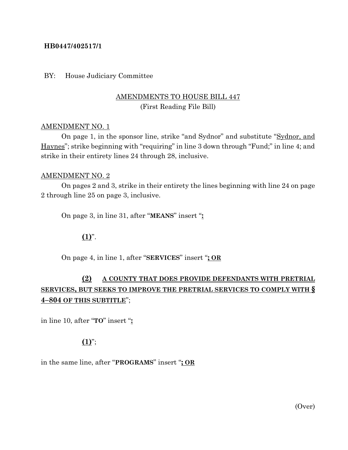## **HB0447/402517/1**

### BY: House Judiciary Committee

# AMENDMENTS TO HOUSE BILL 447 (First Reading File Bill)

### AMENDMENT NO. 1

On page 1, in the sponsor line, strike "and Sydnor" and substitute "Sydnor, and Haynes"; strike beginning with "requiring" in line 3 down through "Fund;" in line 4; and strike in their entirety lines 24 through 28, inclusive.

#### AMENDMENT NO. 2

On pages 2 and 3, strike in their entirety the lines beginning with line 24 on page 2 through line 25 on page 3, inclusive.

On page 3, in line 31, after "**MEANS**" insert "**:**

## $(1)^{n}$ .

On page 4, in line 1, after "**SERVICES**" insert "**; OR**

# **(2) A COUNTY THAT DOES PROVIDE DEFENDANTS WITH PRETRIAL SERVICES, BUT SEEKS TO IMPROVE THE PRETRIAL SERVICES TO COMPLY WITH § 4–804 OF THIS SUBTITLE**";

in line 10, after "**TO**" insert "**:**

## **(1)**";

in the same line, after "**PROGRAMS**" insert "**; OR**